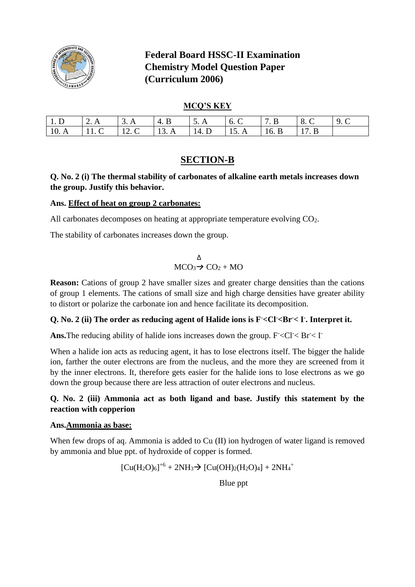

# **Federal Board HSSC-II Examination Chemistry Model Question Paper (Curriculum 2006)**

## **MCQ'S KEY**

| 1. D | $\Box$ A | $\overline{A}$           | $-4.$<br>. в                                       | 5.A           | 16.1 | $\sqrt{7}$ R | $\begin{array}{ccc} & & 8.6 \end{array}$ | 19 C |
|------|----------|--------------------------|----------------------------------------------------|---------------|------|--------------|------------------------------------------|------|
| 10.A |          | $\overline{\phantom{a}}$ | $\begin{array}{ccc} & & 13 & \text{A} \end{array}$ | $14. D$ 15. A |      | $\sqrt{6}$ R | 1 17 R                                   |      |

# **SECTION-B**

## **Q. No. 2 (i) The thermal stability of carbonates of alkaline earth metals increases down the group. Justify this behavior.**

## **Ans. Effect of heat on group 2 carbonates:**

All carbonates decomposes on heating at appropriate temperature evolving  $CO<sub>2</sub>$ .

The stability of carbonates increases down the group.

$$
\Delta
$$
 MCO<sub>3</sub> $\rightarrow$  CO<sub>2</sub> + MO

**Reason:** Cations of group 2 have smaller sizes and greater charge densities than the cations of group 1 elements. The cations of small size and high charge densities have greater ability to distort or polarize the carbonate ion and hence facilitate its decomposition.

## **Q. No. 2 (ii) The order as reducing agent of Halide ions is F-<Cl-<Br-< I- . Interpret it.**

**Ans.** The reducing ability of halide ions increases down the group.  $F < CI < Br < II$ 

When a halide ion acts as reducing agent, it has to lose electrons itself. The bigger the halide ion, farther the outer electrons are from the nucleus, and the more they are screened from it by the inner electrons. It, therefore gets easier for the halide ions to lose electrons as we go down the group because there are less attraction of outer electrons and nucleus.

## **Q. No. 2 (iii) Ammonia act as both ligand and base. Justify this statement by the reaction with copperion**

#### **Ans.Ammonia as base:**

When few drops of aq. Ammonia is added to Cu (II) ion hydrogen of water ligand is removed by ammonia and blue ppt. of hydroxide of copper is formed.

$$
[Cu(H_2O)_6]^{+6} + 2NH_3 \rightarrow [Cu(OH)_2(H_2O)_4] + 2NH_4^+
$$

Blue ppt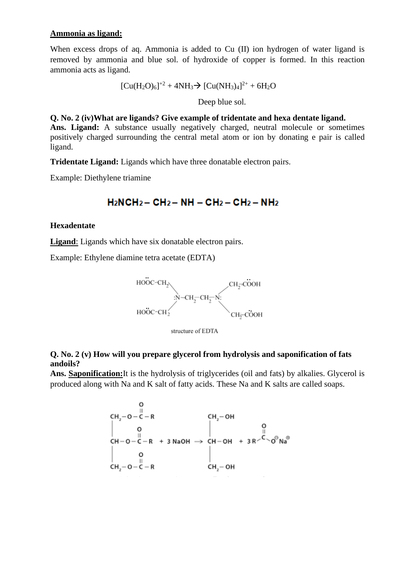### **Ammonia as ligand:**

When excess drops of aq. Ammonia is added to Cu (II) ion hydrogen of water ligand is removed by ammonia and blue sol. of hydroxide of copper is formed. In this reaction ammonia acts as ligand.

 $[Cu(H<sub>2</sub>O)<sub>6</sub>]<sup>+2</sup> + 4NH<sub>3</sub>$  $\rightarrow$   $[Cu(NH<sub>3</sub>)<sub>4</sub>]<sup>2+</sup> + 6H<sub>2</sub>O$ 

Deep blue sol.

**Q. No. 2 (iv)What are ligands? Give example of tridentate and hexa dentate ligand. Ans. Ligand:** A substance usually negatively charged, neutral molecule or sometimes positively charged surrounding the central metal atom or ion by donating e pair is called ligand.

**Tridentate Ligand:** Ligands which have three donatable electron pairs.

Example: Diethylene triamine

# $H_2NCH_2 - CH_2 - NH - CH_2 - CH_2 - NH_2$

## **Hexadentate**

**Ligand**: Ligands which have six donatable electron pairs.

Example: Ethylene diamine tetra acetate (EDTA)



structure of EDTA

## **Q. No. 2 (v) How will you prepare glycerol from hydrolysis and saponification of fats andoils?**

**Ans. Saponification:**It is the hydrolysis of triglycerides (oil and fats) by alkalies. Glycerol is produced along with Na and K salt of fatty acids. These Na and K salts are called soaps.

CH<sub>2</sub>-O-C-R<br>
O<br>
CH-O-C-R + 3 NaOH  $\rightarrow$  CH-OH + 3 R<sup>2</sup>C O<sup>O</sup>Na<sup>®</sup><br>
CH<sub>2</sub>-O-C-R<br>
CH<sub>2</sub>-O-C-R<br>
CH<sub>2</sub>-OH<br>
CH<sub>2</sub>-OH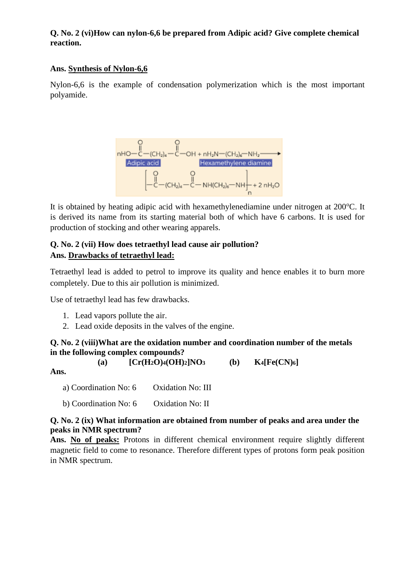## **Q. No. 2 (vi)How can nylon-6,6 be prepared from Adipic acid? Give complete chemical reaction.**

## **Ans. Synthesis of Nylon-6,6**

Nylon-6,6 is the example of condensation polymerization which is the most important polyamide.



It is obtained by heating adipic acid with hexamethylenediamine under nitrogen at 200°C. It is derived its name from its starting material both of which have 6 carbons. It is used for production of stocking and other wearing apparels.

# **Q. No. 2 (vii) How does tetraethyl lead cause air pollution? Ans. Drawbacks of tetraethyl lead:**

Tetraethyl lead is added to petrol to improve its quality and hence enables it to burn more completely. Due to this air pollution is minimized.

Use of tetraethyl lead has few drawbacks.

- 1. Lead vapors pollute the air.
- 2. Lead oxide deposits in the valves of the engine.

## **Q. No. 2 (viii)What are the oxidation number and coordination number of the metals in the following complex compounds?**

**(a) [Cr(H2O)4(OH)2]NO<sup>3</sup> (b) K4[Fe(CN)6]**

**Ans.** 

a) Coordination No: 6 Oxidation No: III b) Coordination No: 6 Oxidation No: II

## **Q. No. 2 (ix) What information are obtained from number of peaks and area under the peaks in NMR spectrum?**

**Ans. No of peaks:** Protons in different chemical environment require slightly different magnetic field to come to resonance. Therefore different types of protons form peak position in NMR spectrum.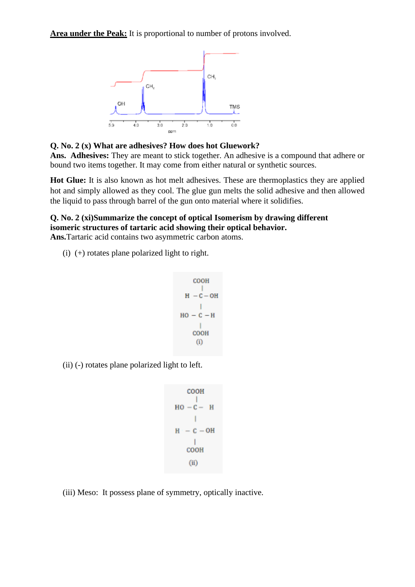**Area under the Peak:** It is proportional to number of protons involved.



**Q. No. 2 (x) What are adhesives? How does hot Gluework?**

**Ans. Adhesives:** They are meant to stick together. An adhesive is a compound that adhere or bound two items together. It may come from either natural or synthetic sources.

**Hot Glue:** It is also known as hot melt adhesives. These are thermoplastics they are applied hot and simply allowed as they cool. The glue gun melts the solid adhesive and then allowed the liquid to pass through barrel of the gun onto material where it solidifies.

## **Q. No. 2 (xi)Summarize the concept of optical Isomerism by drawing different isomeric structures of tartaric acid showing their optical behavior.**

**Ans.**Tartaric acid contains two asymmetric carbon atoms.

(i) (+) rotates plane polarized light to right.

$$
\begin{array}{c}\n\text{COOH} \\
\parallel \\
\text{H} & -\text{C}-\text{OH} \\
\parallel \\
\text{IO} & -\text{C}-\text{H} \\
\parallel \\
\text{COOH} \\
\text{(i)}\n\end{array}
$$

(ii) (-) rotates plane polarized light to left.

```
COOH
HO - C - HH = C - OHT
   COOH
   (ii)
```
(iii) Meso: It possess plane of symmetry, optically inactive.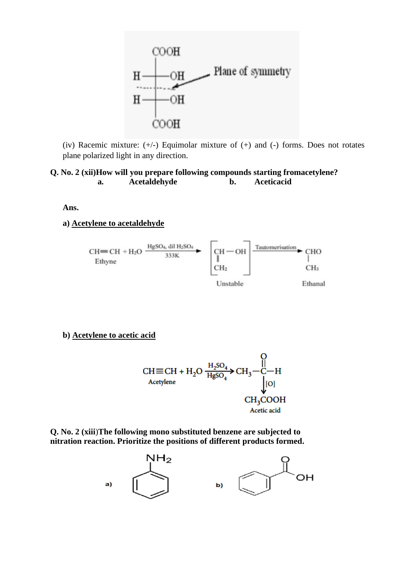

(iv) Racemic mixture: (+/-) Equimolar mixture of (+) and (-) forms. Does not rotates plane polarized light in any direction.

#### **Q. No. 2 (xii)How will you prepare following compounds starting fromacetylene? a. Acetaldehyde b. Aceticacid**

**Ans.** 

**a) Acetylene to acetaldehyde**



**b) Acetylene to acetic acid**

$$
CH \equiv CH + H_2O \xrightarrow{H_2SO_4} CH_3-C-H
$$
  
Acetylene  
CH<sub>3</sub>COOH  
CH<sub>3</sub>COOH  
Acetic acid

**Q. No. 2 (xiii**)**The following mono substituted benzene are subjected to nitration reaction. Prioritize the positions of different products formed.**

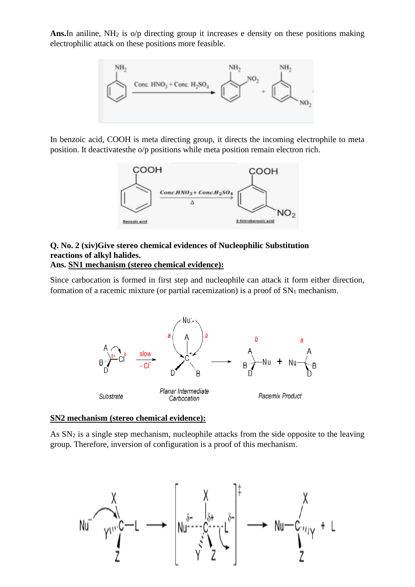Ans.In aniline, NH<sub>2</sub> is o/p directing group it increases e density on these positions making electrophilic attack on these positions more feasible.



In benzoic acid, COOH is meta directing group, it directs the incoming electrophile to meta position. It deactivatesthe o/p positions while meta position remain electron rich.



#### **Q. No. 2 (xiv)Give stereo chemical evidences of Nucleophilic Substitution reactions of alkyl halides. Ans. SN1 mechanism (stereo chemical evidence):**

Since carbocation is formed in first step and nucleophile can attack it form either direction, formation of a racemic mixture (or partial racemization) is a proof of  $SN_1$  mechanism.



#### **SN2 mechanism (stereo chemical evidence):**

As  $SN<sub>2</sub>$  is a single step mechanism, nucleophile attacks from the side opposite to the leaving group. Therefore, inversion of configuration is a proof of this mechanism.

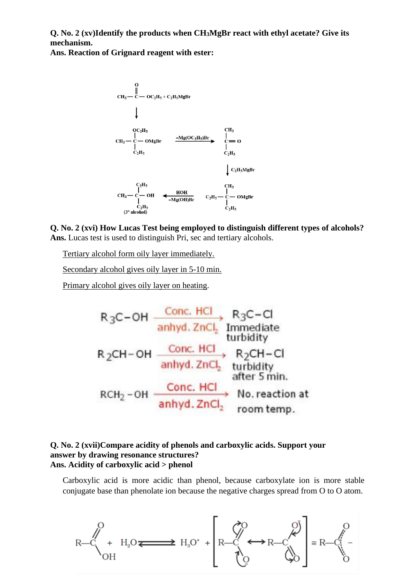**Q. No. 2 (xv)Identify the products when CH3MgBr react with ethyl acetate? Give its mechanism.**

**Ans. Reaction of Grignard reagent with ester:**



**Q. No. 2 (xvi) How Lucas Test being employed to distinguish different types of alcohols? Ans.** Lucas test is used to distinguish Pri, sec and tertiary alcohols.

Tertiary alcohol form oily layer immediately.

Secondary alcohol gives oily layer in 5-10 min.

Primary alcohol gives oily layer on heating.

$$
R_3C-OH \xrightarrow{\text{Conc. HCl}} R_3C-CI
$$
\n
$$
R_2CH-OH \xrightarrow{\text{Conc. HCl}} R_2CH-CI
$$
\n
$$
R_2CH-OH \xrightarrow{\text{Conc. HCl}} R_2CH-CI
$$
\n
$$
R_2CH-Cl \xrightarrow{\text{anhyd. ZnCl}_2} \text{turbidity}
$$
\n
$$
RCH_2-OH \xrightarrow{\text{Conc. HCl}} \text{No. reaction at}
$$
\n
$$
RCH_2-OH \xrightarrow{\text{Conc. HCl}} \text{No. reaction at}
$$
\n
$$
RCH_2-OH \xrightarrow{\text{Conc. HCl}} \text{No. reaction at}
$$

#### **Q. No. 2 (xvii)Compare acidity of phenols and carboxylic acids. Support your answer by drawing resonance structures? Ans. Acidity of carboxylic acid > phenol**

Carboxylic acid is more acidic than phenol, because carboxylate ion is more stable conjugate base than phenolate ion because the negative charges spread from O to O atom.

$$
R - C \left( 1 + H_2 O \right) \longrightarrow H_3 O^+ + \left[ R - C \left( 1 + H_2 O \right) \right] = R - C \left( 1 + H_2 O \right)
$$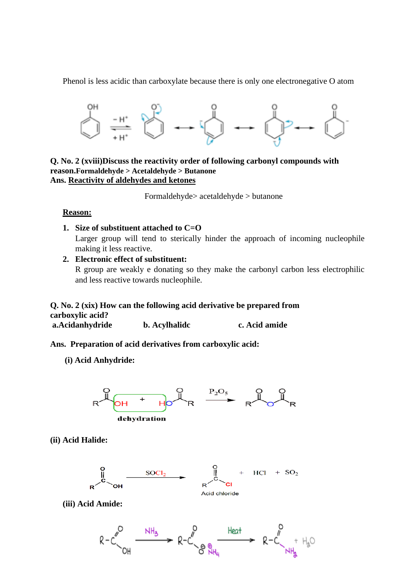Phenol is less acidic than carboxylate because there is only one electronegative O atom



**Q. No. 2 (xviii)Discuss the reactivity order of following carbonyl compounds with reason.Formaldehyde > Acetaldehyde > Butanone Ans. Reactivity of aldehydes and ketones**

Formaldehyde> acetaldehyde > butanone

#### **Reason:**

- **1. Size of substituent attached to C=O** Larger group will tend to sterically hinder the approach of incoming nucleophile making it less reactive.
- **2. Electronic effect of substituent:** R group are weakly e donating so they make the carbonyl carbon less electrophilic and less reactive towards nucleophile.

#### **Q. No. 2 (xix) How can the following acid derivative be prepared from carboxylic acid? a.Acidanhydride b. Acylhalidc c. Acid amide**

**Ans. Preparation of acid derivatives from carboxylic acid:**

**(i) Acid Anhydride:** 



**(ii) Acid Halide:** 



**(iii) Acid Amide:**

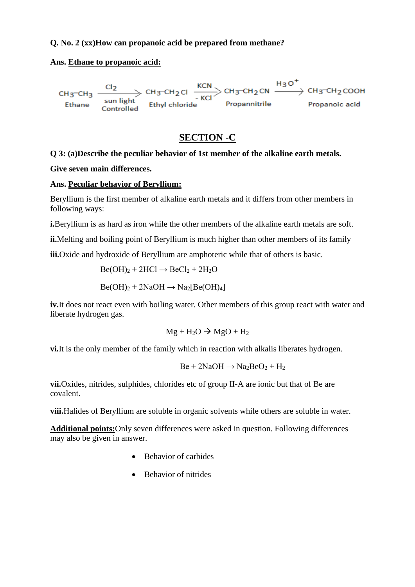## **Q. No. 2 (xx)How can propanoic acid be prepared from methane?**

**Ans. Ethane to propanoic acid:**



# **SECTION -C**

## **Q 3: (a)Describe the peculiar behavior of 1st member of the alkaline earth metals.**

**Give seven main differences.**

#### **Ans. Peculiar behavior of Beryllium:**

Beryllium is the first member of alkaline earth metals and it differs from other members in following ways:

**i.**Beryllium is as hard as iron while the other members of the alkaline earth metals are soft.

**ii.**Melting and boiling point of Beryllium is much higher than other members of its family

**iii.**Oxide and hydroxide of Beryllium are amphoteric while that of others is basic.

$$
Be(OH)2 + 2HCl \rightarrow BeCl2 + 2H2O
$$

$$
Be(OH)2 + 2NaOH \rightarrow Na2[Be(OH)4]
$$

**iv.**It does not react even with boiling water. Other members of this group react with water and liberate hydrogen gas.

$$
Mg + H_2O \rightarrow MgO + H_2
$$

**vi.**It is the only member of the family which in reaction with alkalis liberates hydrogen.

$$
Be + 2NaOH \rightarrow Na_2BeO_2 + H_2
$$

**vii.**Oxides, nitrides, sulphides, chlorides etc of group II-A are ionic but that of Be are covalent.

**viii.**Halides of Beryllium are soluble in organic solvents while others are soluble in water.

**Additional points:**Only seven differences were asked in question. Following differences may also be given in answer.

- Behavior of carbides
- Behavior of nitrides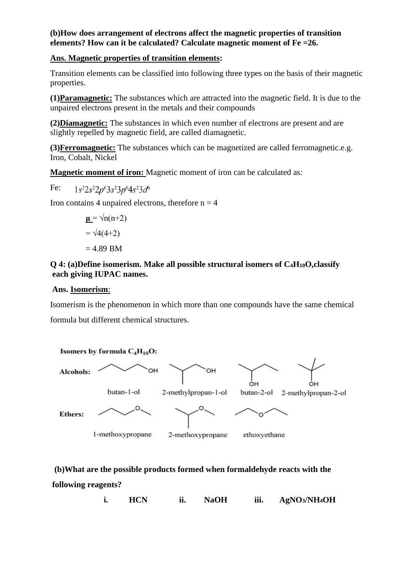### **(b)How does arrangement of electrons affect the magnetic properties of transition elements? How can it be calculated? Calculate magnetic moment of Fe =26.**

### **Ans. Magnetic properties of transition elements:**

Transition elements can be classified into following three types on the basis of their magnetic properties.

**(1)Paramagnetic:** The substances which are attracted into the magnetic field. It is due to the unpaired electrons present in the metals and their compounds

**(2)Diamagnetic:** The substances in which even number of electrons are present and are slightly repelled by magnetic field, are called diamagnetic.

**(3)Ferromagnetic:** The substances which can be magnetized are called ferromagnetic.e.g. Iron, Cobalt, Nickel

**Magnetic moment of iron:** Magnetic moment of iron can be calculated as:

Fe:  $1s^22s^22p^63s^23p^64s^23d^6$ 

Iron contains 4 unpaired electrons, therefore  $n = 4$ 

$$
\mathbf{u} = \sqrt{n(n+2)}
$$

$$
= \sqrt{4(4+2)}
$$

$$
= 4.89 \text{ BM}
$$

## **Q 4: (a)Define isomerism. Make all possible structural isomers of C4H10O,classify each giving IUPAC names.**

#### **Ans. Isomerism**:

Isomerism is the phenomenon in which more than one compounds have the same chemical formula but different chemical structures.



**(b)What are the possible products formed when formaldehyde reacts with the following reagents?**

**i. HCN ii. NaOH iii. AgNO3/NH4OH**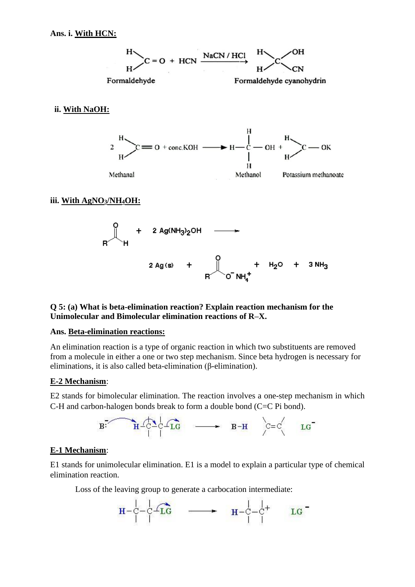

#### **ii. With NaOH:**



#### **iii. With AgNO3/NH4OH:**



#### **Q 5: (a) What is beta-elimination reaction? Explain reaction mechanism for the Unimolecular and Bimolecular elimination reactions of R–X.**

#### **Ans. Beta-elimination reactions:**

An elimination reaction is a type of organic reaction in which two substituents are removed from a molecule in either a one or two step mechanism. Since beta hydrogen is necessary for eliminations, it is also called beta-elimination (β-elimination).

#### **E-2 Mechanism**:

E2 stands for bimolecular elimination. The reaction involves a one-step mechanism in which C-H and carbon-halogen bonds break to form a double bond (C=C Pi bond).



#### **E-1 Mechanism**:

E1 stands for unimolecular elimination. E1 is a model to explain a particular type of chemical elimination reaction.

Loss of the leaving group to generate a carbocation intermediate:

$$
\mathbf{H} - \mathbf{C} - \mathbf{C} \mathbf{L} \mathbf{C} \qquad \longrightarrow \qquad \mathbf{H} - \mathbf{C} - \mathbf{C} + \mathbf{L} \mathbf{C}
$$